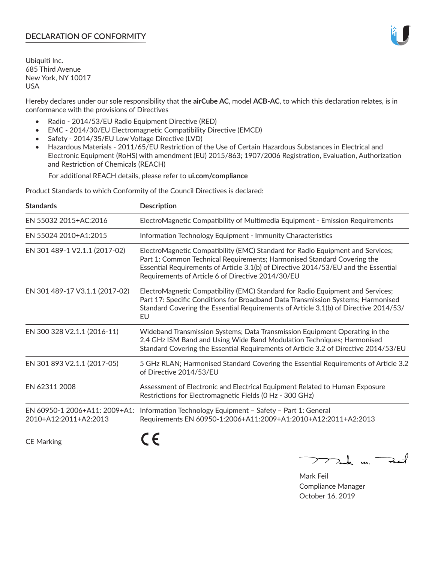## **DECLARATION OF CONFORMITY**

Ubiquiti Inc. 685 Third Avenue New York, NY 10017 USA

Hereby declares under our sole responsibility that the **airCube AC**, model **ACB-AC**, to which this declaration relates, is in conformance with the provisions of Directives

- Radio 2014/53/EU Radio Equipment Directive (RED)
- EMC 2014/30/EU Electromagnetic Compatibility Directive (EMCD)
- Safety 2014/35/EU Low Voltage Directive (LVD)
- Hazardous Materials 2011/65/EU Restriction of the Use of Certain Hazardous Substances in Electrical and Electronic Equipment (RoHS) with amendment (EU) 2015/863; 1907/2006 Registration, Evaluation, Authorization and Restriction of Chemicals (REACH)

For additional REACH details, please refer to **ui.com/compliance**

Product Standards to which Conformity of the Council Directives is declared:

| <b>Standards</b>                                       | <b>Description</b>                                                                                                                                                                                                                                                                                   |
|--------------------------------------------------------|------------------------------------------------------------------------------------------------------------------------------------------------------------------------------------------------------------------------------------------------------------------------------------------------------|
| EN 55032 2015+AC:2016                                  | ElectroMagnetic Compatibility of Multimedia Equipment - Emission Requirements                                                                                                                                                                                                                        |
| EN 55024 2010+A1:2015                                  | Information Technology Equipment - Immunity Characteristics                                                                                                                                                                                                                                          |
| EN 301 489-1 V2.1.1 (2017-02)                          | ElectroMagnetic Compatibility (EMC) Standard for Radio Equipment and Services;<br>Part 1: Common Technical Requirements; Harmonised Standard Covering the<br>Essential Requirements of Article 3.1(b) of Directive 2014/53/EU and the Essential<br>Requirements of Article 6 of Directive 2014/30/EU |
| EN 301 489-17 V3.1.1 (2017-02)                         | ElectroMagnetic Compatibility (EMC) Standard for Radio Equipment and Services;<br>Part 17: Specific Conditions for Broadband Data Transmission Systems; Harmonised<br>Standard Covering the Essential Requirements of Article 3.1(b) of Directive 2014/53/<br>EU                                     |
| EN 300 328 V2.1.1 (2016-11)                            | Wideband Transmission Systems; Data Transmission Equipment Operating in the<br>2,4 GHz ISM Band and Using Wide Band Modulation Techniques; Harmonised<br>Standard Covering the Essential Requirements of Article 3.2 of Directive 2014/53/EU                                                         |
| EN 301 893 V2.1.1 (2017-05)                            | 5 GHz RLAN; Harmonised Standard Covering the Essential Requirements of Article 3.2<br>of Directive 2014/53/EU                                                                                                                                                                                        |
| EN 62311 2008                                          | Assessment of Electronic and Electrical Equipment Related to Human Exposure<br>Restrictions for Electromagnetic Fields (0 Hz - 300 GHz)                                                                                                                                                              |
| EN 60950-1 2006+A11: 2009+A1:<br>2010+A12:2011+A2:2013 | Information Technology Equipment - Safety - Part 1: General<br>Requirements EN 60950-1:2006+A11:2009+A1:2010+A12:2011+A2:2013                                                                                                                                                                        |
|                                                        |                                                                                                                                                                                                                                                                                                      |

CE Marking

C C

mak m. Fuil

Mark Feil Compliance Manager October 16, 2019

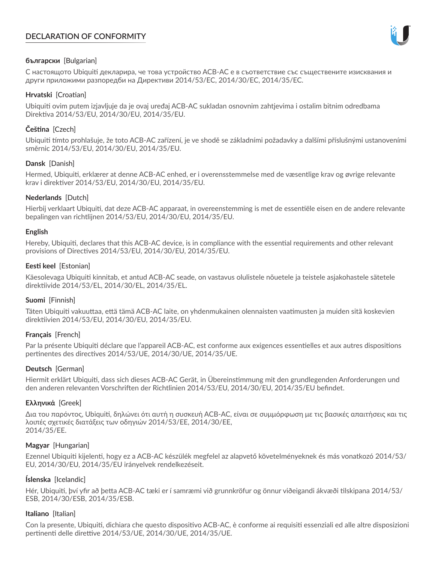# **DECLARATION OF CONFORMITY**



## **български** [Bulgarian]

С настоящото Ubiquiti декларира, че това устройство ACB-AC е в съответствие със съществените изисквания и други приложими разпоредби на Директиви 2014/53/EC, 2014/30/ЕС, 2014/35/ЕС.

## **Hrvatski** [Croatian]

Ubiquiti ovim putem izjavljuje da je ovaj uređaj ACB-AC sukladan osnovnim zahtjevima i ostalim bitnim odredbama Direktiva 2014/53/EU, 2014/30/EU, 2014/35/EU.

# **Čeština** [Czech]

Ubiquiti tímto prohlašuje, že toto ACB-AC zařízení, je ve shodě se základními požadavky a dalšími příslušnými ustanoveními směrnic 2014/53/EU, 2014/30/EU, 2014/35/EU.

## **Dansk** [Danish]

Hermed, Ubiquiti, erklærer at denne ACB-AC enhed, er i overensstemmelse med de væsentlige krav og øvrige relevante krav i direktiver 2014/53/EU, 2014/30/EU, 2014/35/EU.

## **Nederlands** [Dutch]

Hierbij verklaart Ubiquiti, dat deze ACB-AC apparaat, in overeenstemming is met de essentiële eisen en de andere relevante bepalingen van richtlijnen 2014/53/EU, 2014/30/EU, 2014/35/EU.

## **English**

Hereby, Ubiquiti, declares that this ACB-AC device, is in compliance with the essential requirements and other relevant provisions of Directives 2014/53/EU, 2014/30/EU, 2014/35/EU.

## **Eesti keel** [Estonian]

Käesolevaga Ubiquiti kinnitab, et antud ACB-AC seade, on vastavus olulistele nõuetele ja teistele asjakohastele sätetele direktiivide 2014/53/EL, 2014/30/EL, 2014/35/EL.

## **Suomi** [Finnish]

Täten Ubiquiti vakuuttaa, että tämä ACB-AC laite, on yhdenmukainen olennaisten vaatimusten ja muiden sitä koskevien direktiivien 2014/53/EU, 2014/30/EU, 2014/35/EU.

# **Français** [French]

Par la présente Ubiquiti déclare que l'appareil ACB-AC, est conforme aux exigences essentielles et aux autres dispositions pertinentes des directives 2014/53/UE, 2014/30/UE, 2014/35/UE.

# **Deutsch** [German]

Hiermit erklärt Ubiquiti, dass sich dieses ACB-AC Gerät, in Übereinstimmung mit den grundlegenden Anforderungen und den anderen relevanten Vorschriften der Richtlinien 2014/53/EU, 2014/30/EU, 2014/35/EU befindet.

## **Ελληνικά** [Greek]

Δια του παρόντος, Ubiquiti, δηλώνει ότι αυτή η συσκευή ACB-AC, είναι σε συμμόρφωση με τις βασικές απαιτήσεις και τις λοιπές σχετικές διατάξεις των οδηγιών 2014/53/EE, 2014/30/EE, 2014/35/EE.

## **Magyar** [Hungarian]

Ezennel Ubiquiti kijelenti, hogy ez a ACB-AC készülék megfelel az alapvető követelményeknek és más vonatkozó 2014/53/ EU, 2014/30/EU, 2014/35/EU irányelvek rendelkezéseit.

## **Íslenska** [Icelandic]

Hér, Ubiquiti, því yfir að þetta ACB-AC tæki er í samræmi við grunnkröfur og önnur viðeigandi ákvæði tilskipana 2014/53/ ESB, 2014/30/ESB, 2014/35/ESB.

## **Italiano** [Italian]

Con la presente, Ubiquiti, dichiara che questo dispositivo ACB-AC, è conforme ai requisiti essenziali ed alle altre disposizioni pertinenti delle direttive 2014/53/UE, 2014/30/UE, 2014/35/UE.